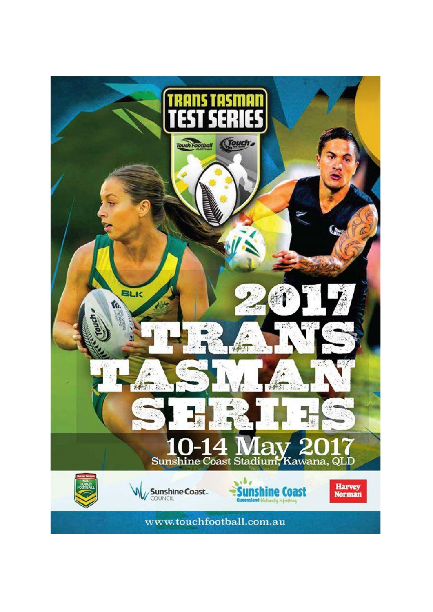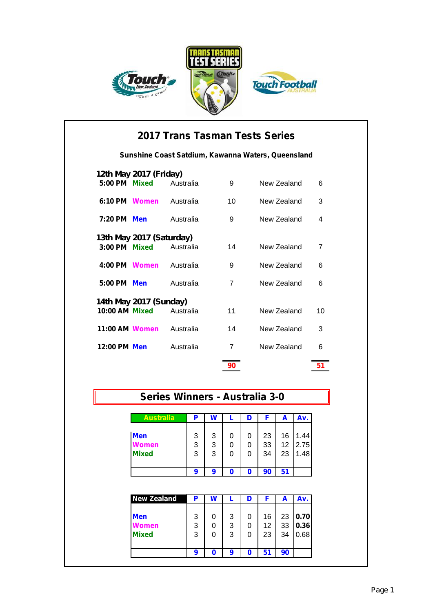





|                | 2017 Trans Tasman Tests Series           |           |    |                                                    |                |  |  |  |  |
|----------------|------------------------------------------|-----------|----|----------------------------------------------------|----------------|--|--|--|--|
|                |                                          |           |    | Sunshine Coast Satdium, Kawanna Waters, Queensland |                |  |  |  |  |
| 5:00 PM        | 12th May 2017 (Friday)<br><b>Mixed</b>   | Australia | 9  | New Zealand                                        | 6              |  |  |  |  |
| 6:10 PM Women  |                                          | Australia | 10 | New Zealand                                        | 3              |  |  |  |  |
| 7:20 PM        | <b>Men</b>                               | Australia | 9  | New Zealand                                        | 4              |  |  |  |  |
| $3:00$ PM      | 13th May 2017 (Saturday)<br><b>Mixed</b> | Australia | 14 | New Zealand                                        | $\overline{7}$ |  |  |  |  |
| 4:00 PM Women  |                                          | Australia | 9  | New Zealand                                        | 6              |  |  |  |  |
| $5:00$ PM      | <b>Men</b>                               | Australia | 7  | New Zealand                                        | 6              |  |  |  |  |
| 10:00 AM Mixed | 14th May 2017 (Sunday)                   | Australia | 11 | New Zealand                                        | 10             |  |  |  |  |
| 11:00 AM Women |                                          | Australia | 14 | New Zealand                                        | 3              |  |  |  |  |
| 12:00 PM Men   |                                          | Australia | 7  | New Zealand                                        | 6              |  |  |  |  |
|                |                                          |           | 90 |                                                    |                |  |  |  |  |

## **Series Winners - Australia 3-0**

| <b>Australia</b> | Р | W |   |    | A  | Av.  |
|------------------|---|---|---|----|----|------|
|                  |   |   |   |    |    |      |
| <b>Men</b>       | 3 | 3 | 0 | 23 | 16 | 1.44 |
| Women            | 3 | 3 | 0 | 33 | 12 | 2.75 |
| <b>Mixed</b>     | 3 | 3 | 0 | 34 | 23 | 1.48 |
|                  |   |   |   |    |    |      |
|                  | 9 | 9 | Ω | 90 |    |      |

| <b>New Zealand</b> | Р |   |   |    | A  | Av.  |
|--------------------|---|---|---|----|----|------|
| <b>Men</b>         | 3 | 3 | 0 | 16 | 23 | 0.70 |
| <b>Jomen</b>       | 3 | 3 | 0 | 12 | 33 | 0.36 |
| <b>Mixed</b>       | 3 | 3 | 0 | 23 | 34 | 0.68 |
|                    |   |   |   |    |    |      |
|                    | O | 9 | n | 51 | 90 |      |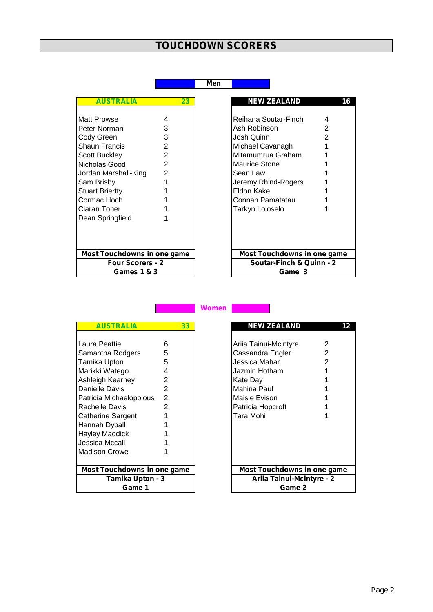## **TOUCHDOWN SCORERS**

## **Men**

| <b>AUSTRALIA</b>                                                                                                                                                                                                |                                                                | 23 |
|-----------------------------------------------------------------------------------------------------------------------------------------------------------------------------------------------------------------|----------------------------------------------------------------|----|
| <b>Matt Prowse</b><br>Peter Norman<br>Cody Green<br>Shaun Francis<br>Scott Buckley<br>Nicholas Good<br>Jordan Marshall-King<br>Sam Brisby<br>Stuart Briertty<br>Cormac Hoch<br>Ciaran Toner<br>Dean Springfield | 4<br>3<br>3<br>$\overline{2}$<br>2<br>2<br>$\overline{2}$<br>1 |    |
| <b>Most Touchdowns in one game</b>                                                                                                                                                                              |                                                                |    |
| <b>Four Scorers - 2</b><br>Games 1 & 3                                                                                                                                                                          |                                                                |    |

| <b>AUSTRALIA</b>                   | 23             |
|------------------------------------|----------------|
|                                    |                |
| Matt Prowse                        |                |
| Peter Norman                       | 3              |
| Cody Green                         | 3              |
| Shaun Francis                      | 2              |
| <b>Scott Buckley</b>               | 2              |
| Nicholas Good                      | $\overline{2}$ |
| Jordan Marshall-King               | $\mathbf{2}$   |
| Sam Brisby                         |                |
| <b>Stuart Briertty</b>             |                |
| Cormac Hoch                        |                |
| Ciaran Toner                       |                |
| Dean Springfield                   |                |
|                                    |                |
|                                    |                |
|                                    |                |
| <b>Most Touchdowns in one game</b> |                |
| <b>Four Scorers - 2</b>            |                |
| Games 1 & 3                        |                |

| AUS I KALIA                        |   | 33 |
|------------------------------------|---|----|
|                                    |   |    |
| Laura Peattie                      | 6 |    |
| Samantha Rodgers                   | 5 |    |
| Tamika Upton                       | 5 |    |
| Marikki Watego                     | 4 |    |
| Ashleigh Kearney                   | 2 |    |
| Danielle Davis                     | 2 |    |
| Patricia Michaelopolous            | 2 |    |
| <b>Rachelle Davis</b>              | 2 |    |
| <b>Catherine Sargent</b>           | 1 |    |
| Hannah Dyball                      | 1 |    |
| <b>Hayley Maddick</b>              |   |    |
| Jessica Mccall                     |   |    |
| Madison Crowe                      |   |    |
|                                    |   |    |
| <b>Most Touchdowns in one game</b> |   |    |
| Tamika Upton - 3                   |   |    |
| Game 1                             |   |    |

| <b>AUSTRALIA</b>                   | 33             | <b>NEW ZEALAND</b>                 | 12 |
|------------------------------------|----------------|------------------------------------|----|
|                                    |                |                                    |    |
| Laura Peattie                      | 6              | Ariia Tainui-Mcintyre              | 2  |
| Samantha Rodgers                   | 5              | Cassandra Engler                   |    |
| Tamika Upton                       | 5              | Jessica Mahar                      |    |
| Marikki Watego                     | 4              | Jazmin Hotham                      |    |
| Ashleigh Kearney                   | $\overline{2}$ | Kate Day                           |    |
| Danielle Davis                     | $\overline{2}$ | Mahina Paul                        |    |
| Patricia Michaelopolous            | 2              | Maisie Evison                      |    |
| Rachelle Davis                     | $\mathcal{P}$  | Patricia Hopcroft                  |    |
| Catherine Sargent                  |                | Tara Mohi                          |    |
| Hannah Dyball                      |                |                                    |    |
| Hayley Maddick                     |                |                                    |    |
| Jessica Mccall                     |                |                                    |    |
| <b>Madison Crowe</b>               |                |                                    |    |
|                                    |                |                                    |    |
| <b>Most Touchdowns in one game</b> |                | <b>Most Touchdowns in one game</b> |    |
| <b>Tamika Upton - 3</b>            |                | <b>Ariia Tainui-Mcintyre - 2</b>   |    |
| Game 1                             |                | Game 2                             |    |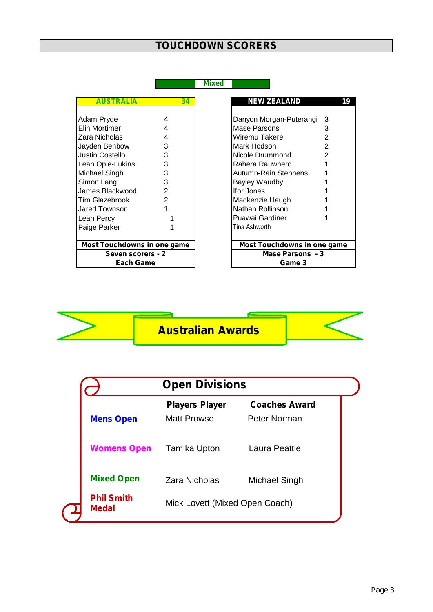## **TOUCHDOWN SCORERS**

**Mixed**

| <b>AUSTRALIA</b><br>34<br>Adam Pryde<br>4<br>Elin Mortimer<br>4<br>Zara Nicholas<br>4<br>3<br>Jayden Benbow<br>Justin Costello<br>3<br>3<br>Leah Opie-Lukins<br>3<br>Michael Singh<br>Simon Lang<br>3<br>James Blackwood<br>2<br><b>Tim Glazebrook</b><br>2<br>Jared Townson<br>1<br>Leah Percy<br>Paige Parker<br><b>Most Touchdowns in one game</b><br>Seven scorers - 2<br><b>Each Game</b> |  |                      |
|------------------------------------------------------------------------------------------------------------------------------------------------------------------------------------------------------------------------------------------------------------------------------------------------------------------------------------------------------------------------------------------------|--|----------------------|
|                                                                                                                                                                                                                                                                                                                                                                                                |  | <b>NEW ZEALAN</b>    |
|                                                                                                                                                                                                                                                                                                                                                                                                |  |                      |
|                                                                                                                                                                                                                                                                                                                                                                                                |  | Danyon Morgan-Pu     |
|                                                                                                                                                                                                                                                                                                                                                                                                |  | Mase Parsons         |
|                                                                                                                                                                                                                                                                                                                                                                                                |  | Wiremu Takerei       |
|                                                                                                                                                                                                                                                                                                                                                                                                |  | Mark Hodson          |
|                                                                                                                                                                                                                                                                                                                                                                                                |  | Nicole Drummond      |
|                                                                                                                                                                                                                                                                                                                                                                                                |  | Rahera Rauwhero      |
|                                                                                                                                                                                                                                                                                                                                                                                                |  | Autumn-Rain Steph    |
|                                                                                                                                                                                                                                                                                                                                                                                                |  | <b>Bayley Waudby</b> |
|                                                                                                                                                                                                                                                                                                                                                                                                |  | Ifor Jones           |
|                                                                                                                                                                                                                                                                                                                                                                                                |  | Mackenzie Haugh      |
|                                                                                                                                                                                                                                                                                                                                                                                                |  | Nathan Rollinson     |
|                                                                                                                                                                                                                                                                                                                                                                                                |  | Puawai Gardiner      |
|                                                                                                                                                                                                                                                                                                                                                                                                |  | Tina Ashworth        |
|                                                                                                                                                                                                                                                                                                                                                                                                |  |                      |
|                                                                                                                                                                                                                                                                                                                                                                                                |  | <b>Most Touchdow</b> |
|                                                                                                                                                                                                                                                                                                                                                                                                |  |                      |
|                                                                                                                                                                                                                                                                                                                                                                                                |  |                      |

| <b>AUSTRALIA</b>                   | 34            | <b>NEW ZEALAND</b>                 | 19 |
|------------------------------------|---------------|------------------------------------|----|
| Adam Pryde                         | 4             |                                    | 3  |
|                                    |               | Danyon Morgan-Puterang             |    |
| Elin Mortimer                      | 4             | Mase Parsons                       | 3  |
| Zara Nicholas                      | 4             | Wiremu Takerei                     | 2  |
| Jayden Benbow                      | 3             | Mark Hodson                        | 2  |
| Justin Costello                    | 3             | Nicole Drummond                    | 2  |
| Leah Opie-Lukins                   | 3             | Rahera Rauwhero                    |    |
| Michael Singh                      | 3             | Autumn-Rain Stephens               |    |
| Simon Lang                         | 3             | Bayley Waudby                      |    |
| James Blackwood                    | 2             | Ifor Jones                         |    |
| Tim Glazebrook                     | $\mathcal{P}$ | Mackenzie Haugh                    |    |
| Jared Townson                      |               | Nathan Rollinson                   |    |
| Leah Percy                         |               | Puawai Gardiner                    |    |
| Paige Parker                       |               | Tina Ashworth                      |    |
|                                    |               |                                    |    |
| <b>Most Touchdowns in one game</b> |               | <b>Most Touchdowns in one game</b> |    |
| Seven scorers - 2                  |               | Mase Parsons - 3                   |    |
| Each Game                          |               | Game 3                             |    |



|                                   | <b>Open Divisions</b>                       |                                      |  |  |  |
|-----------------------------------|---------------------------------------------|--------------------------------------|--|--|--|
| <b>Mens Open</b>                  | <b>Players Player</b><br><b>Matt Prowse</b> | <b>Coaches Award</b><br>Peter Norman |  |  |  |
| <b>Womens Open</b>                | Tamika Upton                                | Laura Peattie                        |  |  |  |
| <b>Mixed Open</b>                 | Zara Nicholas                               | Michael Singh                        |  |  |  |
| <b>Phil Smith</b><br><b>Medal</b> |                                             | Mick Lovett (Mixed Open Coach)       |  |  |  |